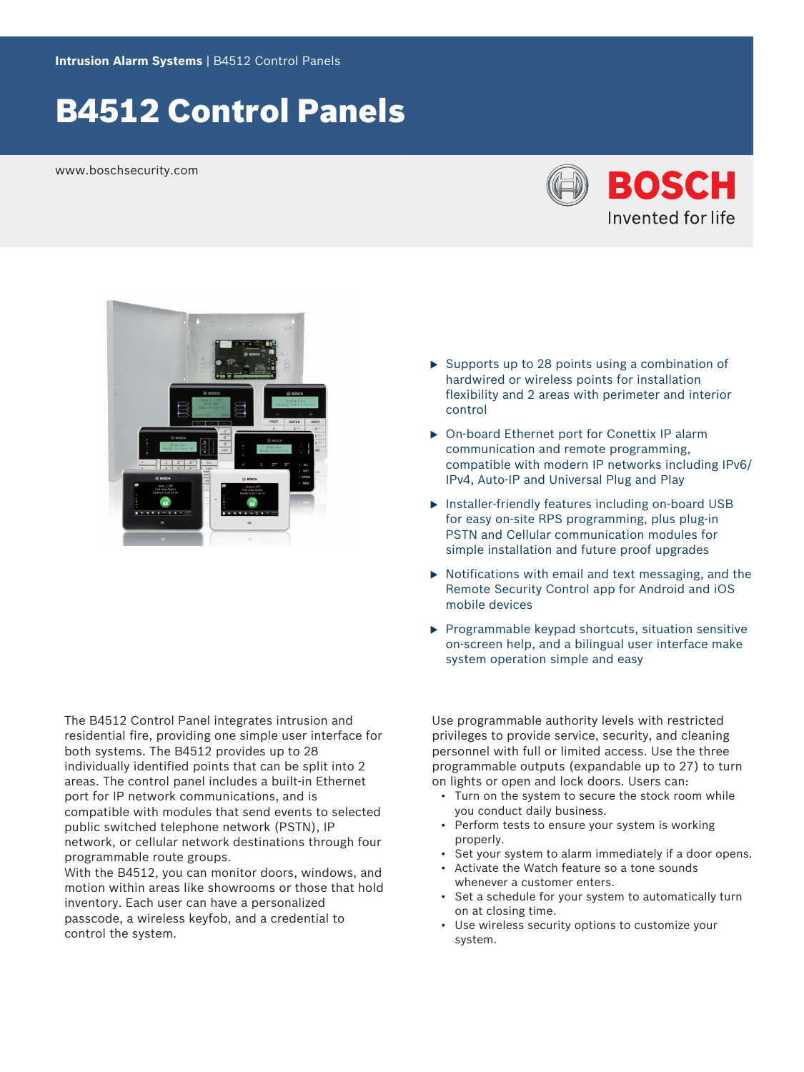# B4512 Control Panels

www.boschsecurity.com





The B4512 Control Panel integrates intrusion and residential fire, providing one simple user interface for both systems. The B4512 provides up to 28 individually identified points that can be split into 2 areas. The control panel includes a built-in Ethernet port for IP network communications, and is compatible with modules that send events to selected public switched telephone network (PSTN), IP network, or cellular network destinations through four programmable route groups.

With the B4512, you can monitor doors, windows, and motion within areas like showrooms or those that hold inventory. Each user can have a personalized passcode, a wireless keyfob, and a credential to control the system.

- $\triangleright$  Supports up to 28 points using a combination of hardwired or wireless points for installation flexibility and 2 areas with perimeter and interior control
- ▶ On-board Ethernet port for Conettix IP alarm communication and remote programming, compatible with modern IP networks including IPv6/ IPv4, Auto-IP and Universal Plug and Play
- $\triangleright$  Installer-friendly features including on-board USB for easy on-site RPS programming, plus plug-in PSTN and Cellular communication modules for simple installation and future proof upgrades
- $\triangleright$  Notifications with email and text messaging, and the Remote Security Control app for Android and iOS mobile devices
- $\blacktriangleright$  Programmable keypad shortcuts, situation sensitive on-screen help, and a bilingual user interface make system operation simple and easy

Use programmable authority levels with restricted privileges to provide service, security, and cleaning personnel with full or limited access. Use the three programmable outputs (expandable up to 27) to turn on lights or open and lock doors. Users can:

- Turn on the system to secure the stock room while you conduct daily business.
- Perform tests to ensure your system is working properly.
- Set your system to alarm immediately if a door opens.
- Activate the Watch feature so a tone sounds whenever a customer enters.
- Set a schedule for your system to automatically turn on at closing time.
- Use wireless security options to customize your system.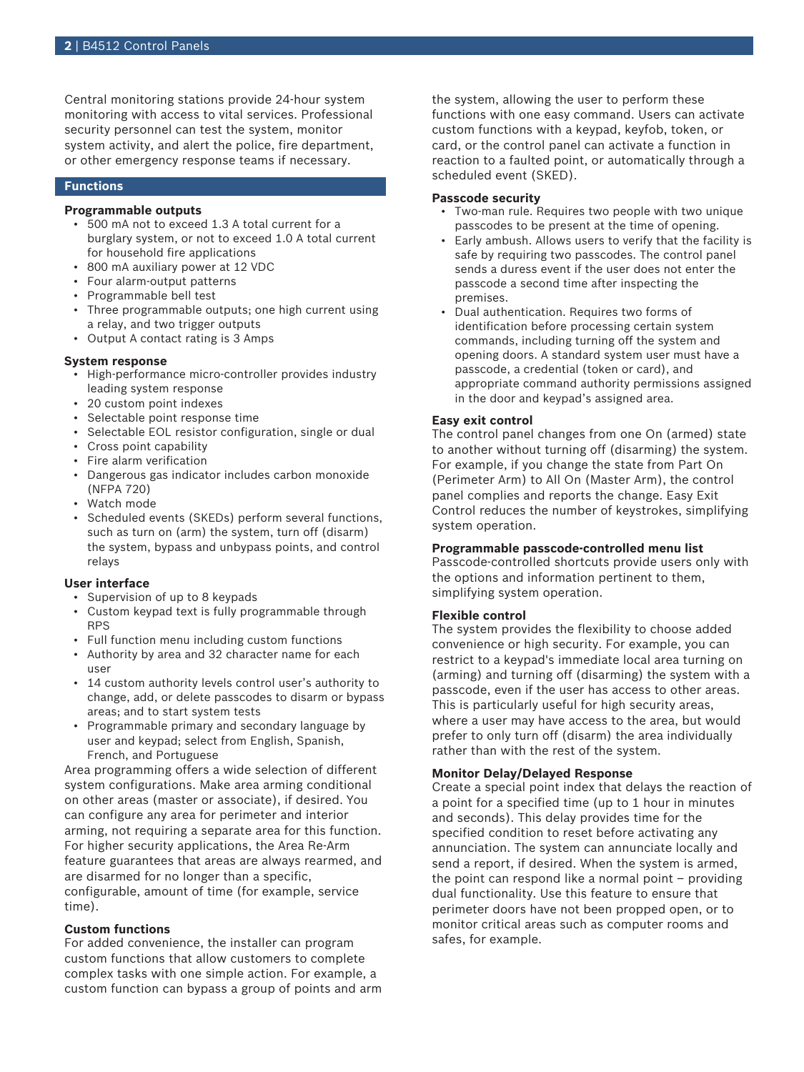Central monitoring stations provide 24-hour system monitoring with access to vital services. Professional security personnel can test the system, monitor system activity, and alert the police, fire department, or other emergency response teams if necessary.

# **Functions**

# **Programmable outputs**

- 500 mA not to exceed 1.3 A total current for a burglary system, or not to exceed 1.0 A total current for household fire applications
- 800 mA auxiliary power at 12 VDC
- Four alarm-output patterns
- Programmable bell test
- Three programmable outputs; one high current using a relay, and two trigger outputs
- Output A contact rating is 3 Amps

#### **System response**

- High-performance micro-controller provides industry leading system response
- 20 custom point indexes
- Selectable point response time
- Selectable EOL resistor configuration, single or dual
- Cross point capability
- Fire alarm verification
- Dangerous gas indicator includes carbon monoxide (NFPA 720)
- Watch mode
- Scheduled events (SKEDs) perform several functions, such as turn on (arm) the system, turn off (disarm) the system, bypass and unbypass points, and control relays

# **User interface**

- Supervision of up to 8 keypads
- Custom keypad text is fully programmable through RPS
- Full function menu including custom functions
- Authority by area and 32 character name for each user
- 14 custom authority levels control user's authority to change, add, or delete passcodes to disarm or bypass areas; and to start system tests
- Programmable primary and secondary language by user and keypad; select from English, Spanish, French, and Portuguese

Area programming offers a wide selection of different system configurations. Make area arming conditional on other areas (master or associate), if desired. You can configure any area for perimeter and interior arming, not requiring a separate area for this function. For higher security applications, the Area Re-Arm feature guarantees that areas are always rearmed, and are disarmed for no longer than a specific, configurable, amount of time (for example, service time).

# **Custom functions**

For added convenience, the installer can program custom functions that allow customers to complete complex tasks with one simple action. For example, a custom function can bypass a group of points and arm the system, allowing the user to perform these functions with one easy command. Users can activate custom functions with a keypad, keyfob, token, or card, or the control panel can activate a function in reaction to a faulted point, or automatically through a scheduled event (SKED).

#### **Passcode security**

- Two-man rule. Requires two people with two unique passcodes to be present at the time of opening.
- Early ambush. Allows users to verify that the facility is safe by requiring two passcodes. The control panel sends a duress event if the user does not enter the passcode a second time after inspecting the premises.
- Dual authentication. Requires two forms of identification before processing certain system commands, including turning off the system and opening doors. A standard system user must have a passcode, a credential (token or card), and appropriate command authority permissions assigned in the door and keypad's assigned area.

#### **Easy exit control**

The control panel changes from one On (armed) state to another without turning off (disarming) the system. For example, if you change the state from Part On (Perimeter Arm) to All On (Master Arm), the control panel complies and reports the change. Easy Exit Control reduces the number of keystrokes, simplifying system operation.

### **Programmable passcode-controlled menu list**

Passcode-controlled shortcuts provide users only with the options and information pertinent to them, simplifying system operation.

# **Flexible control**

The system provides the flexibility to choose added convenience or high security. For example, you can restrict to a keypad's immediate local area turning on (arming) and turning off (disarming) the system with a passcode, even if the user has access to other areas. This is particularly useful for high security areas, where a user may have access to the area, but would prefer to only turn off (disarm) the area individually rather than with the rest of the system.

# **Monitor Delay/Delayed Response**

Create a special point index that delays the reaction of a point for a specified time (up to 1 hour in minutes and seconds). This delay provides time for the specified condition to reset before activating any annunciation. The system can annunciate locally and send a report, if desired. When the system is armed, the point can respond like a normal point – providing dual functionality. Use this feature to ensure that perimeter doors have not been propped open, or to monitor critical areas such as computer rooms and safes, for example.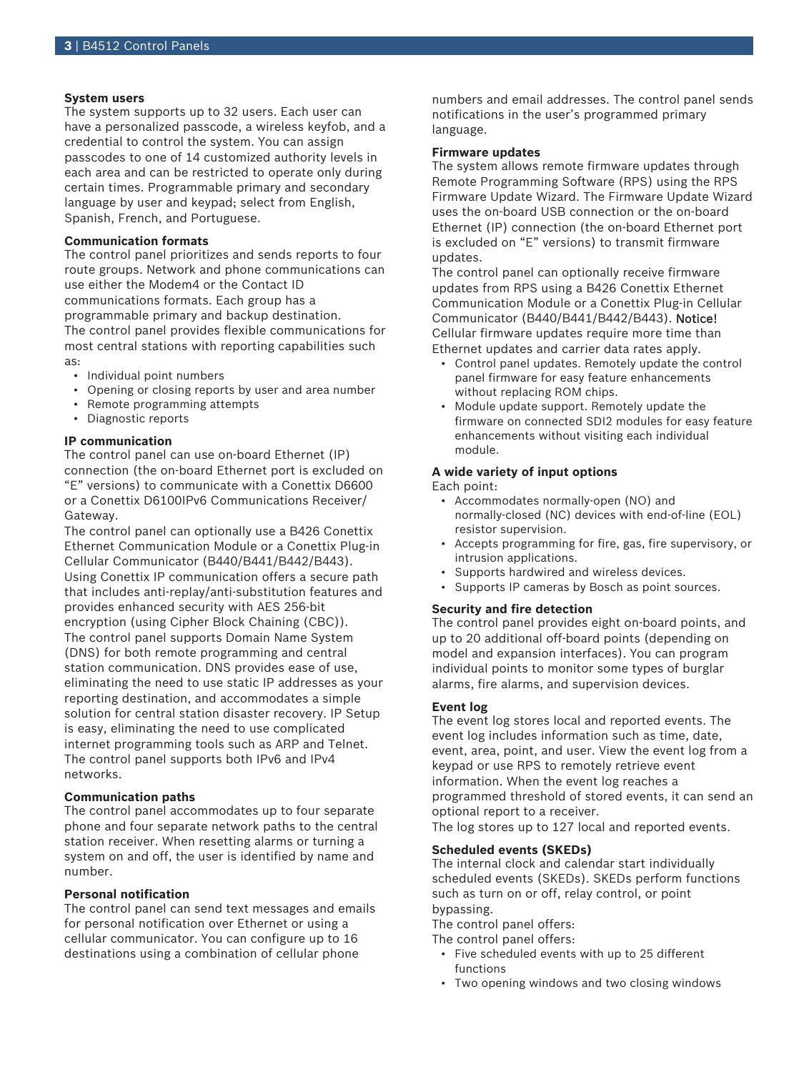# **System users**

The system supports up to 32 users. Each user can have a personalized passcode, a wireless keyfob, and a credential to control the system. You can assign passcodes to one of 14 customized authority levels in each area and can be restricted to operate only during certain times. Programmable primary and secondary language by user and keypad; select from English, Spanish, French, and Portuguese.

# **Communication formats**

The control panel prioritizes and sends reports to four route groups. Network and phone communications can use either the Modem4 or the Contact ID communications formats. Each group has a programmable primary and backup destination. The control panel provides flexible communications for most central stations with reporting capabilities such as:

- Individual point numbers
- Opening or closing reports by user and area number
- Remote programming attempts
- Diagnostic reports

# **IP communication**

The control panel can use on-board Ethernet (IP) connection (the on-board Ethernet port is excluded on "E" versions) to communicate with a Conettix D6600 or a Conettix D6100IPv6 Communications Receiver/ Gateway.

The control panel can optionally use a B426 Conettix Ethernet Communication Module or a Conettix Plug-in Cellular Communicator (B440/B441/B442/B443). Using Conettix IP communication offers a secure path that includes anti-replay/anti-substitution features and provides enhanced security with AES 256-bit encryption (using Cipher Block Chaining (CBC)). The control panel supports Domain Name System (DNS) for both remote programming and central station communication. DNS provides ease of use, eliminating the need to use static IP addresses as your reporting destination, and accommodates a simple solution for central station disaster recovery. IP Setup is easy, eliminating the need to use complicated internet programming tools such as ARP and Telnet. The control panel supports both IPv6 and IPv4 networks.

# **Communication paths**

The control panel accommodates up to four separate phone and four separate network paths to the central station receiver. When resetting alarms or turning a system on and off, the user is identified by name and number.

# **Personal notification**

The control panel can send text messages and emails for personal notification over Ethernet or using a cellular communicator. You can configure up to 16 destinations using a combination of cellular phone

numbers and email addresses. The control panel sends notifications in the user's programmed primary language.

#### **Firmware updates**

The system allows remote firmware updates through Remote Programming Software (RPS) using the RPS Firmware Update Wizard. The Firmware Update Wizard uses the on-board USB connection or the on-board Ethernet (IP) connection (the on-board Ethernet port is excluded on "E" versions) to transmit firmware updates.

The control panel can optionally receive firmware updates from RPS using a B426 Conettix Ethernet Communication Module or a Conettix Plug-in Cellular Communicator (B440/B441/B442/B443). Notice! Cellular firmware updates require more time than Ethernet updates and carrier data rates apply.

- Control panel updates. Remotely update the control panel firmware for easy feature enhancements without replacing ROM chips.
- Module update support. Remotely update the firmware on connected SDI2 modules for easy feature enhancements without visiting each individual module.

# **A wide variety of input options**

# Each point:

- Accommodates normally‑open (NO) and normally-closed (NC) devices with end-of-line (EOL) resistor supervision.
- Accepts programming for fire, gas, fire supervisory, or intrusion applications.
- Supports hardwired and wireless devices.
- Supports IP cameras by Bosch as point sources.

# **Security and fire detection**

The control panel provides eight on-board points, and up to 20 additional off-board points (depending on model and expansion interfaces). You can program individual points to monitor some types of burglar alarms, fire alarms, and supervision devices.

#### **Event log**

The event log stores local and reported events. The event log includes information such as time, date, event, area, point, and user. View the event log from a keypad or use RPS to remotely retrieve event information. When the event log reaches a programmed threshold of stored events, it can send an optional report to a receiver.

The log stores up to 127 local and reported events.

# **Scheduled events (SKEDs)**

The internal clock and calendar start individually scheduled events (SKEDs). SKEDs perform functions such as turn on or off, relay control, or point bypassing.

The control panel offers:

The control panel offers:

- Five scheduled events with up to 25 different functions
- Two opening windows and two closing windows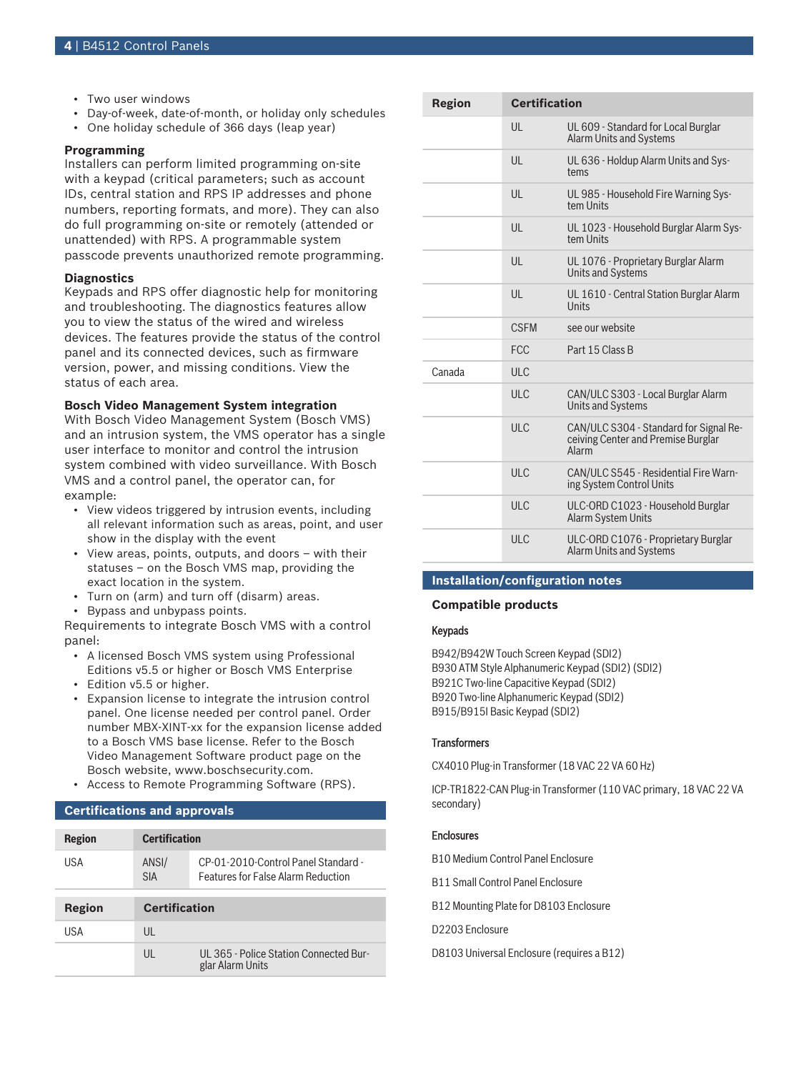- Two user windows
- Day-of-week, date-of-month, or holiday only schedules
- One holiday schedule of 366 days (leap year)

# **Programming**

Installers can perform limited programming on-site with a keypad (critical parameters; such as account IDs, central station and RPS IP addresses and phone numbers, reporting formats, and more). They can also do full programming on-site or remotely (attended or unattended) with RPS. A programmable system passcode prevents unauthorized remote programming.

#### **Diagnostics**

Keypads and RPS offer diagnostic help for monitoring and troubleshooting. The diagnostics features allow you to view the status of the wired and wireless devices. The features provide the status of the control panel and its connected devices, such as firmware version, power, and missing conditions. View the status of each area.

#### **Bosch Video Management System integration**

With Bosch Video Management System (Bosch VMS) and an intrusion system, the VMS operator has a single user interface to monitor and control the intrusion system combined with video surveillance. With Bosch VMS and a control panel, the operator can, for example:

- View videos triggered by intrusion events, including all relevant information such as areas, point, and user show in the display with the event
- View areas, points, outputs, and doors with their statuses – on the Bosch VMS map, providing the exact location in the system.
- Turn on (arm) and turn off (disarm) areas.
- Bypass and unbypass points.

Requirements to integrate Bosch VMS with a control panel:

- A licensed Bosch VMS system using Professional Editions v5.5 or higher or Bosch VMS Enterprise
- Edition v5.5 or higher.
- Expansion license to integrate the intrusion control panel. One license needed per control panel. Order number MBX-XINT-xx for the expansion license added to a Bosch VMS base license. Refer to the Bosch Video Management Software product page on the Bosch website, www.boschsecurity.com.
- Access to Remote Programming Software (RPS).

# **Certifications and approvals**

| <b>Region</b> | <b>Certification</b> |                                                                                  |  |  |
|---------------|----------------------|----------------------------------------------------------------------------------|--|--|
| USA           | ANSI/<br><b>SIA</b>  | CP-01-2010-Control Panel Standard -<br><b>Features for False Alarm Reduction</b> |  |  |
|               |                      |                                                                                  |  |  |
|               |                      |                                                                                  |  |  |
| Region        | <b>Certification</b> |                                                                                  |  |  |
| USA           | UL                   |                                                                                  |  |  |

| Region | <b>Certification</b> |                                                                                       |
|--------|----------------------|---------------------------------------------------------------------------------------|
|        | UL                   | UL 609 - Standard for Local Burglar<br><b>Alarm Units and Systems</b>                 |
|        | $\mathsf{U}$         | UL 636 - Holdup Alarm Units and Sys-<br>tems                                          |
|        | UL                   | UL 985 - Household Fire Warning Sys-<br>tem Units                                     |
|        | $\mathsf{U}$         | UL 1023 - Household Burglar Alarm Sys-<br>tem Units                                   |
|        | $\mathsf{U}$         | UL 1076 - Proprietary Burglar Alarm<br><b>Units and Systems</b>                       |
|        | UL                   | UL 1610 - Central Station Burglar Alarm<br>Units                                      |
|        | <b>CSEM</b>          | see our website                                                                       |
|        | <b>FCC</b>           | Part 15 Class B                                                                       |
| Canada | <b>ULC</b>           |                                                                                       |
|        | <b>ULC</b>           | CAN/ULC S303 - Local Burglar Alarm<br><b>Units and Systems</b>                        |
|        | ULC                  | CAN/ULC S304 - Standard for Signal Re-<br>ceiving Center and Premise Burglar<br>Alarm |
|        | ULC                  | CAN/ULC S545 - Residential Fire Warn-<br>ing System Control Units                     |
|        | <b>ULC</b>           | ULC-ORD C1023 - Household Burglar<br>Alarm System Units                               |
|        | ULC                  | ULC-ORD C1076 - Proprietary Burglar<br>Alarm Units and Systems                        |

# **Installation/configuration notes**

#### **Compatible products**

# Keypads

B942/B942W Touch Screen Keypad (SDI2) B930 ATM Style Alphanumeric Keypad (SDI2) (SDI2) B921C Two-line Capacitive Keypad (SDI2) B920 Two-line Alphanumeric Keypad (SDI2) B915/B915I Basic Keypad (SDI2)

#### **Transformers**

CX4010 Plug-in Transformer (18 VAC 22 VA 60 Hz)

ICP‑TR1822‑CAN Plug‑in Transformer (110 VAC primary, 18 VAC 22 VA secondary)

# **Enclosures**

B10 Medium Control Panel Enclosure

B11 Small Control Panel Enclosure

B12 Mounting Plate for D8103 Enclosure

D2203 Enclosure

D8103 Universal Enclosure (requires a B12)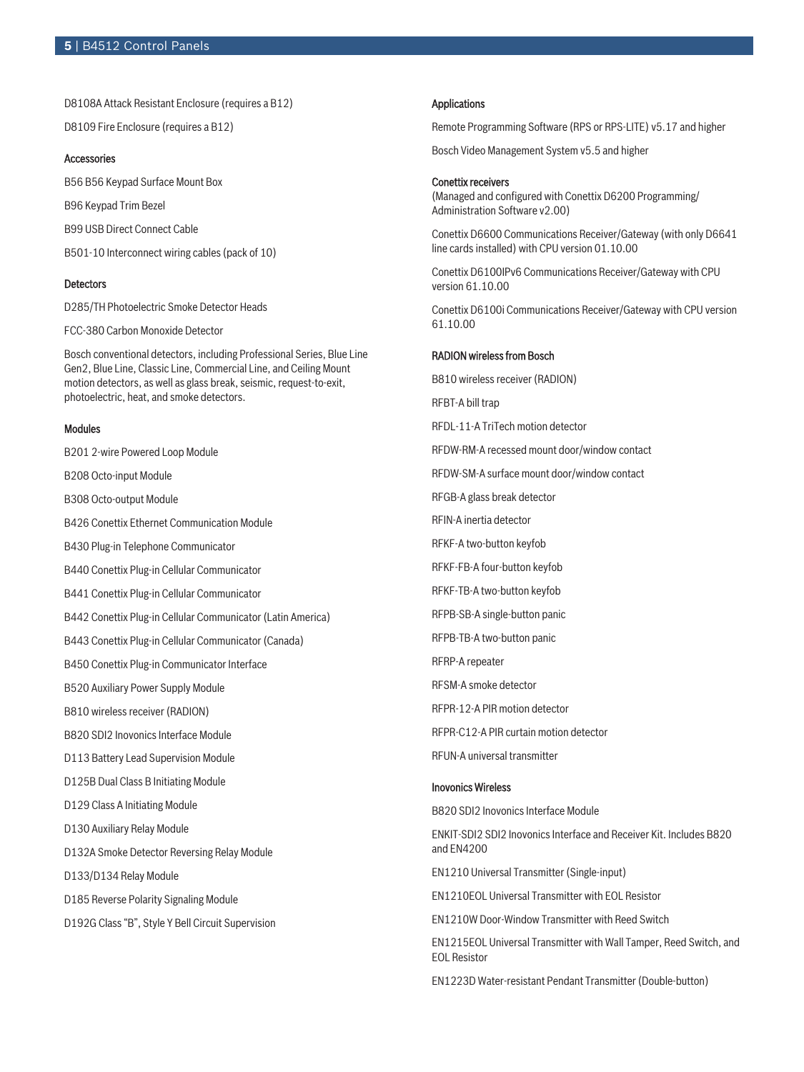D8108A Attack Resistant Enclosure (requires a B12)

D8109 Fire Enclosure (requires a B12)

# **Accessories**

B56 B56 Keypad Surface Mount Box

B96 Keypad Trim Bezel

B99 USB Direct Connect Cable

B501-10 Interconnect wiring cables (pack of 10)

#### **Detectors**

D285/TH Photoelectric Smoke Detector Heads

FCC-380 Carbon Monoxide Detector

Bosch conventional detectors, including Professional Series, Blue Line Gen2, Blue Line, Classic Line, Commercial Line, and Ceiling Mount motion detectors, as well as glass break, seismic, request-to-exit, photoelectric, heat, and smoke detectors.

#### Modules

B201 2-wire Powered Loop Module

B208 Octo-input Module

B308 Octo-output Module

B426 Conettix Ethernet Communication Module

B430 Plug-in Telephone Communicator

B440 Conettix Plug-in Cellular Communicator

B441 Conettix Plug-in Cellular Communicator

B442 Conettix Plug-in Cellular Communicator (Latin America)

B443 Conettix Plug-in Cellular Communicator (Canada)

B450 Conettix Plug-in Communicator Interface

B520 Auxiliary Power Supply Module

B810 wireless receiver (RADION)

B820 SDI2 Inovonics Interface Module

D113 Battery Lead Supervision Module

D125B Dual Class B Initiating Module

D129 Class A Initiating Module

D130 Auxiliary Relay Module

D132A Smoke Detector Reversing Relay Module

D133/D134 Relay Module

D185 Reverse Polarity Signaling Module

D192G Class "B", Style Y Bell Circuit Supervision

#### Applications

Remote Programming Software (RPS or RPS‑LITE) v5.17 and higher

Bosch Video Management System v5.5 and higher

### Conettix receivers

(Managed and configured with Conettix D6200 Programming/ Administration Software v2.00)

Conettix D6600 Communications Receiver/Gateway (with only D6641 line cards installed) with CPU version 01.10.00

Conettix D6100IPv6 Communications Receiver/Gateway with CPU version 61.10.00

Conettix D6100i Communications Receiver/Gateway with CPU version 61.10.00

# RADION wireless from Bosch

B810 wireless receiver (RADION) RFBT-A bill trap RFDL-11-A TriTech motion detector RFDW-RM-A recessed mount door/window contact RFDW-SM-A surface mount door/window contact RFGB-A glass break detector RFIN-A inertia detector RFKF-A two-button keyfob RFKF-FB-A four-button keyfob RFKF-TB-A two-button keyfob RFPB-SB-A single-button panic RFPB-TB-A two-button panic RFRP-A repeater RFSM-A smoke detector RFPR-12-A PIR motion detector RFPR-C12-A PIR curtain motion detector RFUN-A universal transmitter Inovonics Wireless

B820 SDI2 Inovonics Interface Module

ENKIT-SDI2 SDI2 Inovonics Interface and Receiver Kit. Includes B820 and EN4200

EN1210 Universal Transmitter (Single-input)

EN1210EOL Universal Transmitter with EOL Resistor

EN1210W Door-Window Transmitter with Reed Switch

EN1215EOL Universal Transmitter with Wall Tamper, Reed Switch, and EOL Resistor

EN1223D Water‑resistant Pendant Transmitter (Double‑button)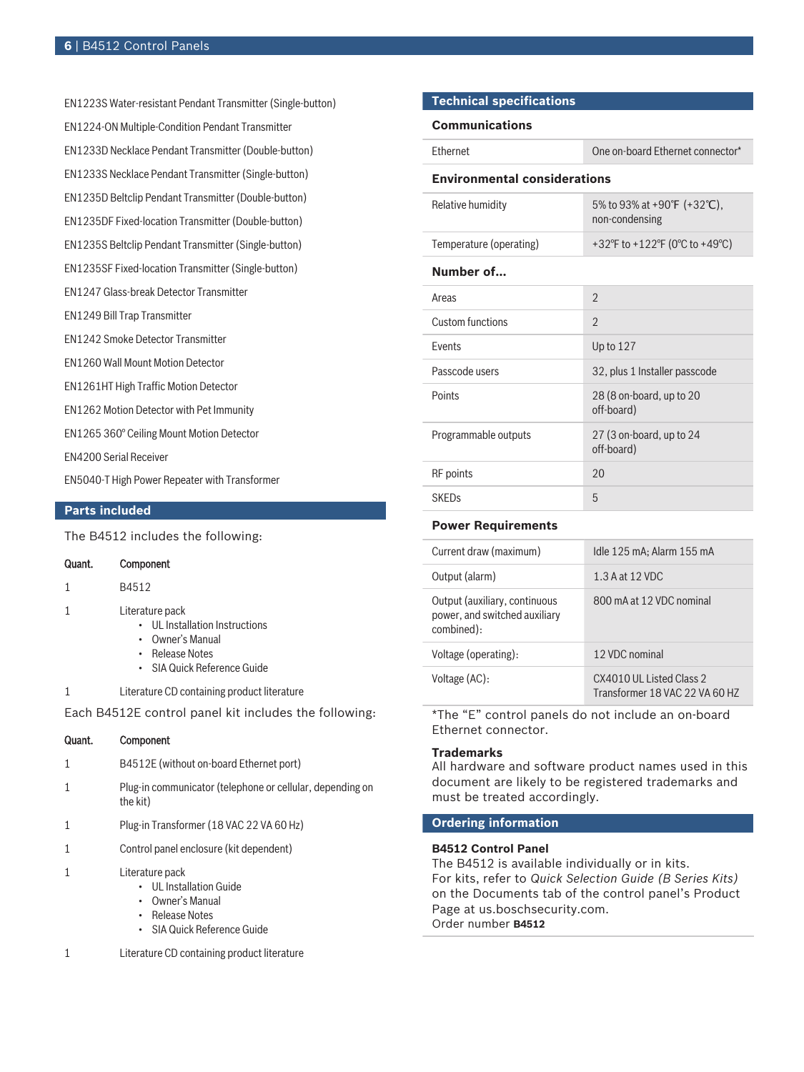EN1223S Water‑resistant Pendant Transmitter (Single‑button) EN1224-ON Multiple-Condition Pendant Transmitter EN1233D Necklace Pendant Transmitter (Double-button) EN1233S Necklace Pendant Transmitter (Single-button) EN1235D Beltclip Pendant Transmitter (Double-button) EN1235DF Fixed-location Transmitter (Double-button) EN1235S Beltclip Pendant Transmitter (Single-button) EN1235SF Fixed-location Transmitter (Single-button) EN1247 Glass-break Detector Transmitter EN1249 Bill Trap Transmitter EN1242 Smoke Detector Transmitter EN1260 Wall Mount Motion Detector EN1261HT High Traffic Motion Detector EN1262 Motion Detector with Pet Immunity EN1265 360° Ceiling Mount Motion Detector EN4200 Serial Receiver EN5040-T High Power Repeater with Transformer

# **Parts included**

The B4512 includes the following:

| Quant. | Component |
|--------|-----------|
|        | B4512     |

- 1 Literature pack
	- UL Installation Instructions
	- Owner's Manual
	- Release Notes
	- SIA Quick Reference Guide
- 1 Literature CD containing product literature

Each B4512E control panel kit includes the following:

| Quant. | Component                                                             |
|--------|-----------------------------------------------------------------------|
| 1      | B4512E (without on-board Ethernet port)                               |
|        | Plug-in communicator (telephone or cellular, depending on<br>the kit) |
|        | Plug-in Transformer (18 VAC 22 VA 60 Hz)                              |
| 1      | Control panel enclosure (kit dependent)                               |
|        | Literature pack                                                       |

- UL Installation Guide
- Owner's Manual
- Release Notes
- SIA Quick Reference Guide
- 1 Literature CD containing product literature

# **Technical specifications**

#### **Communications**

| <b>Fthernet</b>                     | One on-board Ethernet connector*              |  |  |
|-------------------------------------|-----------------------------------------------|--|--|
| <b>Environmental considerations</b> |                                               |  |  |
| Relative humidity                   | 5% to 93% at +90°F (+32°C),<br>non-condensing |  |  |
| Temperature (operating)             | +32°F to +122°F (0°C to +49°C)                |  |  |
| Number of                           |                                               |  |  |
| Areas                               | $\mathfrak{D}$                                |  |  |
| Custom functions                    | $\mathfrak{D}$                                |  |  |
| <b>Fvents</b>                       | Up to $127$                                   |  |  |
| Passcode users                      | 32, plus 1 Installer passcode                 |  |  |
| Points                              | 28 (8 on-board, up to 20<br>off-board)        |  |  |
| Programmable outputs                | 27 (3 on-board, up to 24<br>off-board)        |  |  |
| <b>RF</b> points                    | 20                                            |  |  |
| <b>SKEDs</b>                        | 5                                             |  |  |

#### **Power Requirements**

| Current draw (maximum)                                                       | Idle 125 mA; Alarm 155 mA                                   |
|------------------------------------------------------------------------------|-------------------------------------------------------------|
| Output (alarm)                                                               | 1.3 A at 12 VDC                                             |
| Output (auxiliary, continuous<br>power, and switched auxiliary<br>combined): | 800 mA at 12 VDC nominal                                    |
| Voltage (operating):                                                         | 12 VDC nominal                                              |
| Voltage (AC):                                                                | CX4010 ULL Listed Class 2<br>Transformer 18 VAC 22 VA 60 HZ |

\*The "E" control panels do not include an on-board Ethernet connector.

# **Trademarks**

All hardware and software product names used in this document are likely to be registered trademarks and must be treated accordingly.

# **Ordering information**

# **B4512 Control Panel**

The B4512 is available individually or in kits. For kits, refer to *Quick Selection Guide (B Series Kits)* on the Documents tab of the control panel's Product Page at us.boschsecurity.com. Order number **B4512**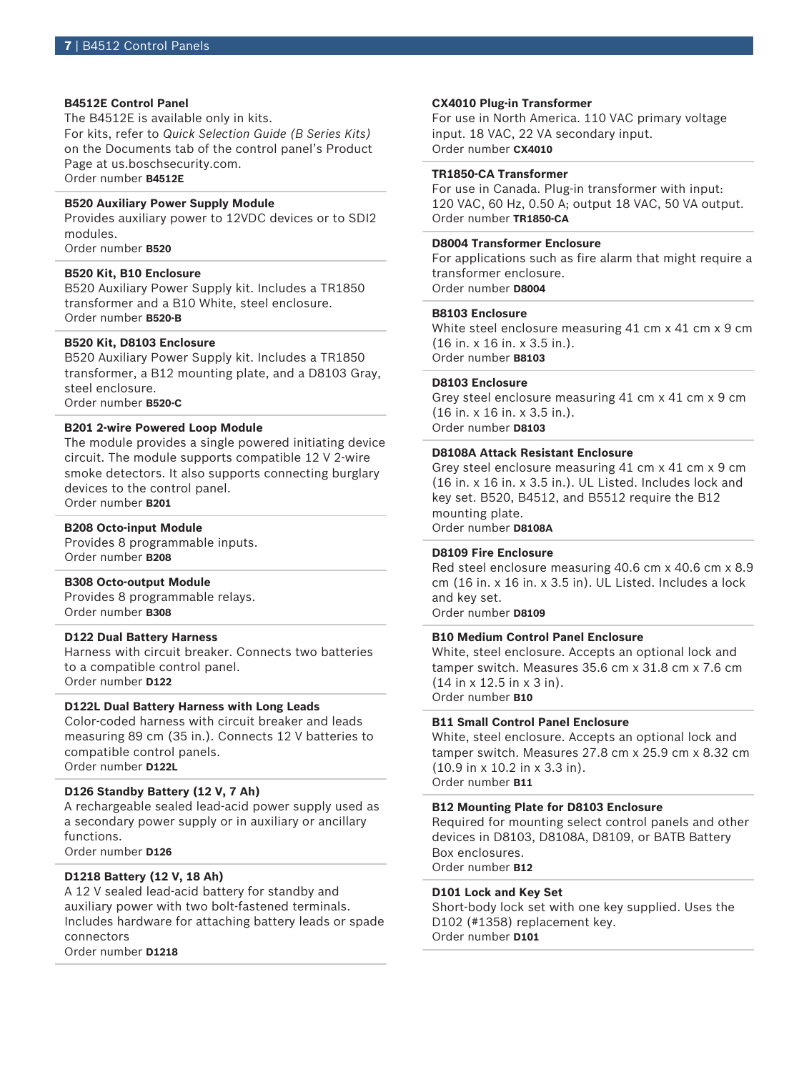# **B4512E Control Panel**

The B4512E is available only in kits. For kits, refer to *Quick Selection Guide (B Series Kits)* on the Documents tab of the control panel's Product Page at us.boschsecurity.com. Order number **B4512E**

# **B520 Auxiliary Power Supply Module**

Provides auxiliary power to 12VDC devices or to SDI2 modules.

Order number **B520**

# **B520 Kit, B10 Enclosure**

B520 Auxiliary Power Supply kit. Includes a TR1850 transformer and a B10 White, steel enclosure. Order number **B520-B**

# **B520 Kit, D8103 Enclosure**

B520 Auxiliary Power Supply kit. Includes a TR1850 transformer, a B12 mounting plate, and a D8103 Gray, steel enclosure. Order number **B520-C**

#### **B201 2-wire Powered Loop Module**

The module provides a single powered initiating device circuit. The module supports compatible 12 V 2-wire smoke detectors. It also supports connecting burglary devices to the control panel. Order number **B201**

#### **B208 Octo-input Module**

Provides 8 programmable inputs. Order number **B208**

#### **B308 Octo-output Module**

Provides 8 programmable relays. Order number **B308**

# **D122 Dual Battery Harness**

Harness with circuit breaker. Connects two batteries to a compatible control panel. Order number **D122**

# **D122L Dual Battery Harness with Long Leads**

Color-coded harness with circuit breaker and leads measuring 89 cm (35 in.). Connects 12 V batteries to compatible control panels. Order number **D122L**

### **D126 Standby Battery (12 V, 7 Ah)**

A rechargeable sealed lead‑acid power supply used as a secondary power supply or in auxiliary or ancillary functions. Order number **D126**

# **D1218 Battery (12 V, 18 Ah)**

A 12 V sealed lead-acid battery for standby and auxiliary power with two bolt-fastened terminals. Includes hardware for attaching battery leads or spade connectors Order number **D1218**

#### **CX4010 Plug‑in Transformer**

For use in North America. 110 VAC primary voltage input. 18 VAC, 22 VA secondary input. Order number **CX4010**

#### **TR1850-CA Transformer**

For use in Canada. Plug-in transformer with input: 120 VAC, 60 Hz, 0.50 A; output 18 VAC, 50 VA output. Order number **TR1850-CA**

# **D8004 Transformer Enclosure**

For applications such as fire alarm that might require a transformer enclosure. Order number **D8004**

# **B8103 Enclosure**

White steel enclosure measuring 41 cm x 41 cm x 9 cm (16 in. x 16 in. x 3.5 in.). Order number **B8103**

# **D8103 Enclosure**

Grey steel enclosure measuring 41 cm x 41 cm x 9 cm (16 in. x 16 in. x 3.5 in.). Order number **D8103**

#### **D8108A Attack Resistant Enclosure**

Grey steel enclosure measuring 41 cm x 41 cm x 9 cm (16 in. x 16 in. x 3.5 in.). UL Listed. Includes lock and key set. B520, B4512, and B5512 require the B12 mounting plate. Order number **D8108A**

# **D8109 Fire Enclosure**

Red steel enclosure measuring 40.6 cm x 40.6 cm x 8.9 cm (16 in. x 16 in. x 3.5 in). UL Listed. Includes a lock and key set. Order number **D8109**

# **B10 Medium Control Panel Enclosure**

White, steel enclosure. Accepts an optional lock and tamper switch. Measures 35.6 cm x 31.8 cm x 7.6 cm (14 in x 12.5 in x 3 in). Order number **B10**

# **B11 Small Control Panel Enclosure**

White, steel enclosure. Accepts an optional lock and tamper switch. Measures 27.8 cm x 25.9 cm x 8.32 cm (10.9 in x 10.2 in x 3.3 in). Order number **B11**

#### **B12 Mounting Plate for D8103 Enclosure**

Required for mounting select control panels and other devices in D8103, D8108A, D8109, or BATB Battery Box enclosures. Order number **B12**

#### **D101 Lock and Key Set**

Short-body lock set with one key supplied. Uses the D102 (#1358) replacement key. Order number **D101**